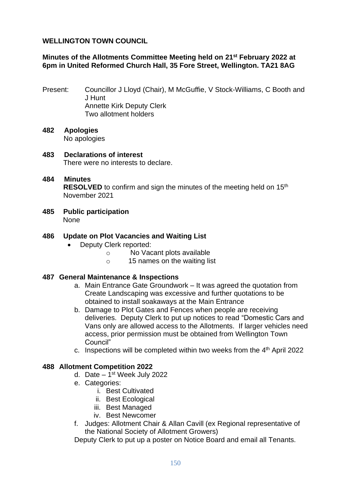### **WELLINGTON TOWN COUNCIL**

## **Minutes of the Allotments Committee Meeting held on 21st February 2022 at 6pm in United Reformed Church Hall, 35 Fore Street, Wellington. TA21 8AG**

- Present: Councillor J Lloyd (Chair), M McGuffie, V Stock-Williams, C Booth and J Hunt Annette Kirk Deputy Clerk Two allotment holders
- **482 Apologies** No apologies
- **483 Declarations of interest** There were no interests to declare.
- **484 Minutes RESOLVED** to confirm and sign the minutes of the meeting held on 15<sup>th</sup> November 2021
- **485 Public participation** None
- **486 Update on Plot Vacancies and Waiting List**
	- Deputy Clerk reported:
		- o No Vacant plots available
		- o 15 names on the waiting list

### **487 General Maintenance & Inspections**

- a. Main Entrance Gate Groundwork It was agreed the quotation from Create Landscaping was excessive and further quotations to be obtained to install soakaways at the Main Entrance
- b. Damage to Plot Gates and Fences when people are receiving deliveries. Deputy Clerk to put up notices to read "Domestic Cars and Vans only are allowed access to the Allotments. If larger vehicles need access, prior permission must be obtained from Wellington Town Council"
- c. Inspections will be completed within two weeks from the  $4<sup>th</sup>$  April 2022

### **488 Allotment Competition 2022**

- d. Date 1<sup>st</sup> Week July 2022
- e. Categories:
	- i. Best Cultivated
	- ii. Best Ecological
	- iii. Best Managed
	- iv. Best Newcomer
- f. Judges: Allotment Chair & Allan Cavill (ex Regional representative of the National Society of Allotment Growers)

Deputy Clerk to put up a poster on Notice Board and email all Tenants.